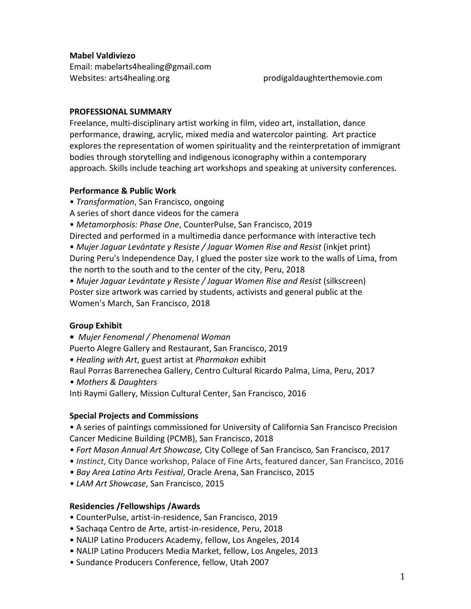## **Mabel Valdiviezo**

Email: mabelarts4healing@gmail.com Websites: arts4healing.org prodigaldaughterthemovie.com

## **PROFESSIONAL SUMMARY**

Freelance, multi-disciplinary artist working in film, video art, installation, dance performance, drawing, acrylic, mixed media and watercolor painting. Art practice explores the representation of women spirituality and the reinterpretation of immigrant bodies through storytelling and indigenous iconography within a contemporary approach. Skills include teaching art workshops and speaking at university conferences.

## **Performance & Public Work**

- *Transformation*, San Francisco, ongoing
- A series of short dance videos for the camera
- • *Metamorphosis: Phase One*, CounterPulse, San Francisco, 2019
- Directed and performed in a multimedia dance performance with interactive tech

• *Mujer Jaguar Levántate y Resiste / Jaguar Women Rise and Resist* (inkjet print) During Peru's Independence Day, I glued the poster size work to the walls of Lima, from the north to the south and to the center of the city, Peru, 2018

• *Mujer Jaguar Levántate y Resiste / Jaguar Women Rise and Resist* (silkscreen) Poster size artwork was carried by students, activists and general public at the Women's March, San Francisco, 2018

# **Group Exhibit**

**•** *Mujer Fenomenal / Phenomenal Woman*

Puerto Alegre Gallery and Restaurant, San Francisco, 2019

• *Healing with Art*, guest artist at *Pharmakon* exhibit 

Raul Porras Barrenechea Gallery, Centro Cultural Ricardo Palma, Lima, Peru, 2017

*• Mothers & Daughters*

Inti Raymi Gallery, Mission Cultural Center, San Francisco, 2016

# **Special Projects and Commissions**

• A series of paintings commissioned for University of California San Francisco Precision Cancer Medicine Building (PCMB), San Francisco, 2018

- *• Fort Mason Annual Art Showcase,* City College of San Francisco*,* San Francisco, 2017
- *Instinct*, City Dance workshop, Palace of Fine Arts, featured dancer, San Francisco, 2016
- *• Bay Area Latino Arts Festival*, Oracle Arena, San Francisco, 2015
- *• LAM Art Showcase*, San Francisco, 2015

# **Residencies /Fellowships /Awards**

- CounterPulse, artist-in-residence, San Francisco, 2019
- Sachaqa Centro de Arte, artist-in-residence, Peru, 2018
- NALIP Latino Producers Academy, fellow, Los Angeles, 2014
- NALIP Latino Producers Media Market, fellow, Los Angeles, 2013
- Sundance Producers Conference, fellow, Utah 2007